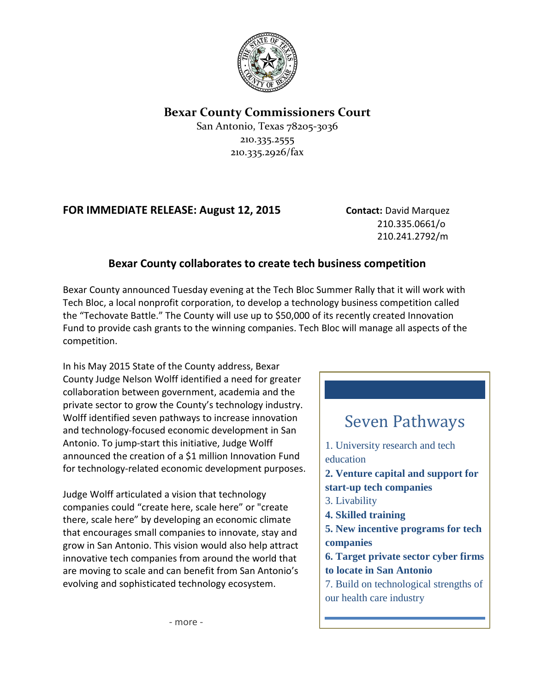

## **Bexar County Commissioners Court**

San Antonio, Texas 78205-3036 210.335.2555 210.335.2926/fax

## **FOR IMMEDIATE RELEASE: August 12, 2015 Contact:** David Marquez

210.335.0661/o 210.241.2792/m

## **Bexar County collaborates to create tech business competition**

Bexar County announced Tuesday evening at the Tech Bloc Summer Rally that it will work with Tech Bloc, a local nonprofit corporation, to develop a technology business competition called the "Techovate Battle." The County will use up to \$50,000 of its recently created Innovation Fund to provide cash grants to the winning companies. Tech Bloc will manage all aspects of the competition.

In his May 2015 State of the County address, Bexar County Judge Nelson Wolff identified a need for greater collaboration between government, academia and the private sector to grow the County's technology industry. Wolff identified seven pathways to increase innovation and technology-focused economic development in San Antonio. To jump-start this initiative, Judge Wolff announced the creation of a \$1 million Innovation Fund for technology-related economic development purposes.

Judge Wolff articulated a vision that technology companies could "create here, scale here" or "create there, scale here" by developing an economic climate that encourages small companies to innovate, stay and grow in San Antonio. This vision would also help attract innovative tech companies from around the world that are moving to scale and can benefit from San Antonio's evolving and sophisticated technology ecosystem.

## Seven Pathways 1. University research and tech education **2. Venture capital and support for start-up tech companies** 3. Livability **4. Skilled training 5. New incentive programs for tech companies 6. Target private sector cyber firms to locate in San Antonio** 7. Build on technological strengths of our health care industry

- more -